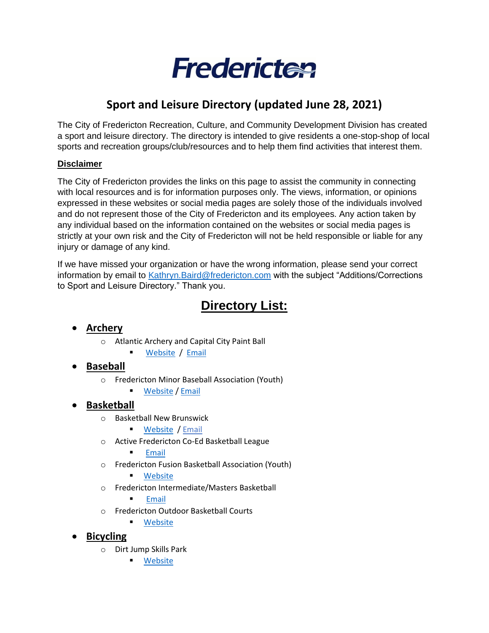

# **Sport and Leisure Directory (updated June 28, 2021)**

The City of Fredericton Recreation, Culture, and Community Development Division has created a sport and leisure directory. The directory is intended to give residents a one-stop-shop of local sports and recreation groups/club/resources and to help them find activities that interest them.

#### **Disclaimer**

The City of Fredericton provides the links on this page to assist the community in connecting with local resources and is for information purposes only. The views, information, or opinions expressed in these websites or social media pages are solely those of the individuals involved and do not represent those of the City of Fredericton and its employees. Any action taken by any individual based on the information contained on the websites or social media pages is strictly at your own risk and the City of Fredericton will not be held responsible or liable for any injury or damage of any kind.

If we have missed your organization or have the wrong information, please send your correct information by email to [Kathryn.Baird@fredericton.com](mailto:Kathryn.Baird@fredericton.com) with the subject "Additions/Corrections to Sport and Leisure Directory." Thank you.

# **Directory List:**

- **Archery**
	- o Atlantic Archery and Capital City Paint Ball
		- [Website](http://archeryandpaintball.com/archery/) / [Email](mailto:info@archeryandpaintball.com)
- **Baseball**
	- o Fredericton Minor Baseball Association (Youth)
		- **[Website](https://frederictonminorbaseball.ca/) / [Email](mailto:presidentfmba@gmail.com)**

# • **Basketball**

- o Basketball New Brunswick
	- [Website](http://basketball.nb.ca/) / [Email](mailto:info@basketball.nb.ca)
- o Active Fredericton Co-Ed Basketball League
	- [Email](mailto:activefredericton@gmail.com)
- o Fredericton Fusion Basketball Association (Youth)
	- [Website](https://www.facebook.com/frederictonfusionbasketball/)
- o Fredericton Intermediate/Masters Basketball

**[Email](mailto:info@frederictonbasketball.ca)** 

- o Fredericton Outdoor Basketball Courts
	- [Website](https://www.fredericton.ca/en/recreation/courts-0)

• **Bicycling**

- o Dirt Jump Skills Park
	- [Website](https://www.fredericton.ca/en/recreation/)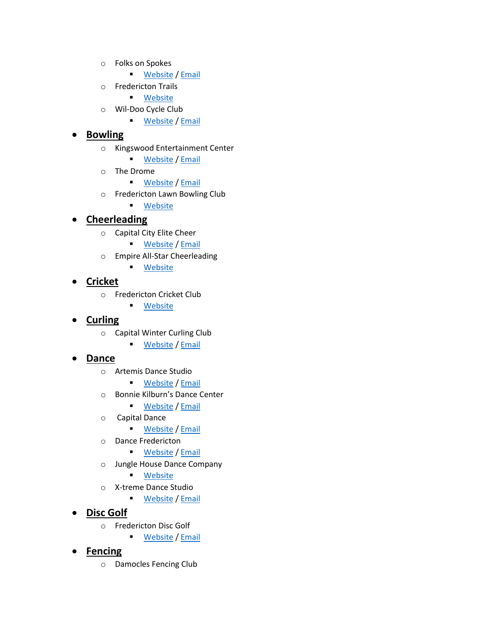- o Folks on Spokes
	- [Website](https://www.facebook.com/folksonspokesfredericton/) / [Email](mailto:Frederictonfolksonspokes@outlook.com)
- o Fredericton Trails
	- Website
- o Wil-Doo Cycle Club
	- **[Website](https://www.connectfredericton.ca/agency/detail/?agency_id=83173) / [Email](mailto:jennwambolt@gmail.com)**

### • **Bowling**

- o Kingswood Entertainment Center
	- [Website](https://kingswoodpark.ca/entertainment/bowling) / [Email](mailto:djohnson@kingswoodpark.ca)
- o The Drome
	- [Website](https://www.trailwaybrewing.com/the-drome) / [Email](mailto:info@trailwaybrewing.com)
- o Fredericton Lawn Bowling Club
	- [Website](https://www.frederictonlawnbowlingclub.com/)

# • **Cheerleading**

- o Capital City Elite Cheer
	- [Website](mailto:Website) / [Email](mailto:info@capitalcityelite.net)
- o Empire All-Star Cheerleading
	- [Website](https://www.facebook.com/empireallstarcheerleading/)

### • **Cricket**

- o Fredericton Cricket Club
	- [Website](https://www.frederictoncricketclub.ca/)

# • **Curling**

- o Capital Winter Curling Club
	- [Website](https://www.capitalwinterclub.ca/) / [Email](mailto:capitalwinterclub@bellaliant.com)

### • **Dance**

- o Artemis Dance Studio
	- [Website](https://artemisdancestudio.com/) / [Email](mailto:artemisdancestudio@yahoo.ca)
- o Bonnie Kilburn's Dance Center
	- [Website](https://www.bonniekilburndancers.com/) / [Email](mailto:bonniekilburndancers@bellaliant.com)
- o Capital Dance
	- [Website](https://www.capitaldanceco.com/) / [Email](mailto:meghan@capitaldancecompany.com)
- o Dance Fredericton
	- **[Website](https://www.dancefredericton.com/) / [Email](mailto:dancefredericton@nb.aibn.com)**
- o Jungle House Dance Company
	- [Website](https://www.junglehousedance.com/)
- o X-treme Dance Studio
	- [Website](https://www.x-tremedancestudio.com/) / [Email](mailto:sarah@x-tremedancestudio.com)
- **Disc Golf**
	- o Fredericton Disc Golf
		- [Website](https://www.facebook.com/FrederictonDiscGolf) / [Email](mailto:frederictondiscgolf@gmail.com)

# • **Fencing**

o Damocles Fencing Club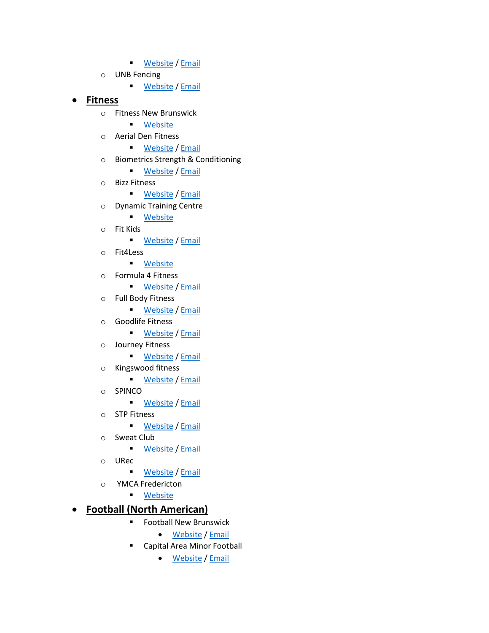- [Website](http://www.damoclesfencing.ca/) / [Email](mailto:damoclesfencing@gmail.com)
- o UNB Fencing
	- **EMELA** [Website](https://www.sites.google.com/site/fencingunb/) / [Email](mailto:Fencing.unb@gmail.com)

#### • **Fitness**

- o Fitness New Brunswick
	- [Website](https://www.fitnessnb.ca/)
- o Aerial Den Fitness
	- [Website](https://www.theaerialden.com/) / [Email](mailto:theaerialden@gmail.com)
- o Biometrics Strength & Conditioning
	- [Website](https://biometricssc.com/) / [Email](mailto:info@biometricssc.com)
- o Bizz Fitness
	- [Website](https://www.bizzfitness.ca/) / [Email](mailto:bootcamp@nb.aibn.com)
- o Dynamic Training Centre
	- [Website](http://www.dynamictrainingcentre.ca/)
- o Fit Kids
	- **[Website](https://fitkidsafterschool.ca/) / [Email](mailto:contactfitkids@gmail.com)**
- o Fit4Less
	- [Website](https://www.fit4less.ca/locations/provinces/new-brunswick/fredericton/fredericton-smythe?utm_source=G&utm_medium=lpm&utm_campaign=fit4less)
- o Formula 4 Fitness
	- [Website](https://www.formula4fitness.ca/) / [Email](mailto:info@formula4fitness.ca)
- o Full Body Fitness
	- [Website](https://www.facebook.com/FullBodyFitnessNB/) / [Email](mailto:fbffredericton@outlook.com)
- o Goodlife Fitness
	- [Website](https://www.goodlifefitness.com/clubs/club.165.html?utm_source=G&utm_medium=LPM&utm_campaign=GoodlifeFitness) / [Email](mailto:frederictonmall@goodlifefitness.com)
- o Journey Fitness
	- [Website](https://journeyfitnessnb.ca/) / [Email](mailto:kangoojumpsfredericton@gmail.com)
- o Kingswood fitness
	- [Website](https://kingswoodpark.ca/fitness) / [Email](mailto:fitness@kingswoodpark.ca)
- o SPINCO
	- **EXAMPLE [Website](https://www.spinco.ca/spinco-fredericton) / [Email](mailto:infofredericton@spinco.ca)**
- o STP Fitness
	- **[Website](http://www.stpfitness.com/) / [Email](mailto:frontdesk@stpfitness.com)**
- o Sweat Club
	- [Website](https://sweatclubinc.ca/) / [Email](mailto:info@sweatclubinc.ca)
- o URec
	- [Website](https://www.unb.ca/fredericton/urec/) / [Email](mailto:urec@unb.ca)
- o YMCA Fredericton
	- [Website](https://fredericton.ymca.ca/)

# • **Football (North American)**

- Football New Brunswick
	- [Website](http://footballnb.ca/) / [Email](mailto:micah.hesman@footballnb.ca)
- Capital Area Minor Football
	- [Website](https://www.facebook.com/CapitalAreaMinorFootball/) / [Email](mailto:camfa506@gmail.com)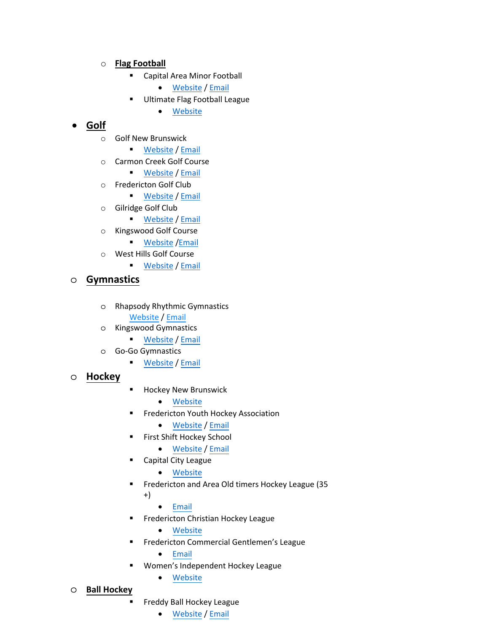### o **Flag Football**

- Capital Area Minor Football
	- [Website](https://www.facebook.com/CapitalAreaMinorFootball/) / [Email](mailto:camfa506@gmail.com)
- Ultimate Flag Football League
	- [Website](https://uffl46.wixsite.com/uffl?fbclid=IwAR2LwnMwKKVo6PmPNUtHoPCS_uAbTX9z744t6xXBK0w_3UE6eKWXyMXayKw)

# • **Golf**

- o Golf New Brunswick
	- [Website](http://golfnb.ca/) / [Email](mailto:info@golfnb.ca)
- o Carmon Creek Golf Course
	- [Website](https://www.carmancreekgolf.com/) / [Email](mailto:terry@carmencreekgolf.com)
- o Fredericton Golf Club
	- [Website](http://www.playfgc.com/) / [Email](mailto:proshop@playfgc.com)
- o Gilridge Golf Club
	- [Website](https://www.facebook.com/Gilridge-Golf-Club-116623575093217/) / [Email](mailto:gilridgegolfclub@nb.aibn.com)
- o Kingswood Golf Course
	- [Website](https://www.kingswoodpark.ca/) / Email
- o West Hills Golf Course
	- **[Website](https://www.westhillsgolf.com/)** / [Email](mailto:stephenpughgolf@outlook.com)

### o **Gymnastics**

- o Rhapso[dy Rhythm](https://www.kingswoodpark.ca/gymnastics/)[ic Gym](mailto:gymnastics@kingswoodpark.ca)nastics [Website](https://www.rhapsodyrhythmicgymnastics.com) / [Email](rhapsody.rg@gmail.com)
- o Kingsw[ood Gymn](https://gogogym.com/)[astics](mailto:gymnastics@gogogym.com)
	- Website / Email
- o Go-Go Gymnastics
	- Website [/ Email](https://www.hnb.ca/en/)
- o **Hockey**
- Hockey [New Brun](http://fyha.goalline.ca/)[swick](mailto:edfyha@bellaliant.com)
	- Website
- **EXEC** Frederi[cton Yout](https://www.firstshift.ca/the-program/)[h Hocke](mailto:edfyha@bellaliant.com)y Association
	- Website / Email
- First Sh[ift Hockey](https://www.leaguelineup.com/welcome.asp?url=cchlnb) School
	- Website / Email
- **Capital [City Le](mailto:aith@nbnet.nb.ca)ague** 
	- Website
- Frederi[cton and A](https://www.leaguelineup.com/welcome.asp?url=fchl)rea Old timers Hockey League (35 +)
	- [Email](mailto:dale.obrien@gnb.ca)
- **Fredericton Christian Hockey League** 
	- [Website](https://leagues.carhahockey.ca/wihl/home)
- Fredericton Commercial Gentlemen's League
	- Email
	- Women's I[ndepe](https://www.freddyballhockey.com/)[ndent H](mailto:dougietaylor3@gmail.com)ockey League
		- Website
- o **Ball Hockey**
	- **Freddy Ball Hockey League** 
		- Website / Email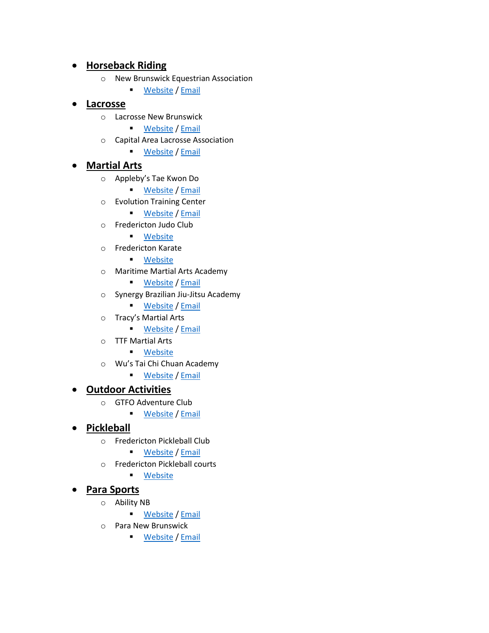# • **Horseback Riding**

- o New Brunswick Equestrian Association
	- [Website](https://nbea.ca/) / [Email](mailto:horses@nbnet.nb.ca)

#### • **Lacrosse**

- o Lacrosse New Brunswick
	- [Website](https://laxnb.ca/) / [Email](mailto:info@laxnb.ca)
- o Capital Area Lacrosse Association
	- [Website](https://capitalarealacrosse.ca/) / [Email](mailto:capitalarealacrosse@gmail.com)

#### • **Martial Arts**

- o Appleby's Tae Kwon Do
	- [Website](https://www.applebystaekwondo.com/) / [Email](mailto:applebystkd@gmail.com)
- o Evolution Training Center
	- [Website](http://www.evolutiontrainingcenter.ca/) / [Email](mailto:fightandfitness@nb.aibn.com)
- o Fredericton Judo Club
	- [Website](https://www.facebook.com/FrederictonJudoClub/)
- o Fredericton Karate
	- [Website](http://www.frederictonkarate.com/)
- o Maritime Martial Arts Academy
	- **[Website](http://www.maritimemartialarts.com/) / [Email](mailto:maritimemartialarts@hotmail.com)**
- o Synergy Brazilian Jiu-Jitsu Academy
	- [Website](https://www.bjjfredericton.com/) / [Email](mailto:bjjfredericton@gmail.com)
- o Tracy's Martial Arts
	- [Website](https://www.taejudo.com/) / [Email](mailto:richard@tracysma.com)
- o TTF Martial Arts
	- [Website](https://www.facebook.com/TTFMartialArts/)
- o Wu's Tai Chi Chuan Academy
	- [Website](https://www.facebook.com/wustylefredericton/) / [Email](mailto:club@wustylefredericton.com)

### • **Outdoor Activities**

- o GTFO Adventure Club
	- [Website](http://www.gtfonb.com/) / [Email](mailto:info@gtfonb.com)

### • **Pickleball**

- o Fredericton Pickleball Club
	- **[Website](https://www.frederictonpickleballclub.com/) / [Email](mailto:alden.briggs@icould.com)**
- o Fredericton Pickleball courts
	- [Website](https://www.fredericton.ca/en/recreation/courts-0)

#### • **Para Sports**

- o Ability NB
	- **EXAMPLE [Website](https://www.abilitynb.ca/) / [Emai](mailto:info@ability.ca)l**
- o Para New Brunswick
	- [Website](http://www.paranb.ca/) / [Email](mailto:Mathiew.Stever@paranb.ca)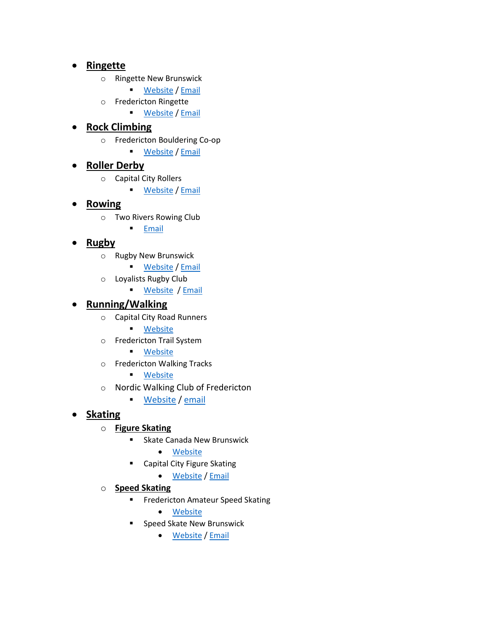### • **Ringette**

- o Ringette New Brunswick
	- [Website](http://ringette-nb.com/) / [Email](mailto:rnb.executivedirector@gmail.com)
- o Fredericton Ringette
	- [Website](https://www.fredericton-ringette.ca/) / [Email](mailto:fyraringette@gmail.com)

# • **Rock Climbing**

- o Fredericton Bouldering Co-op
	- [Website](https://www.fbcwall.com/) / [Email](mailto:fbcwall@gmail.com)

# • **Roller Derby**

- o Capital City Rollers
	- [Website](https://capitalcityrollers.ca/index.html) / [Email](mailto:frederictoncapitalcityrollers@gmail.com)

# • **Rowing**

- o Two Rivers Rowing Club
	- [Email](mailto:tworiversrowingclub@gmail.com)

# • **Rugby**

- o Rugby New Brunswick
	- [Website](http://www.rugbynb.ca/) / [Email](mailto:tim.comeau@gmail.com)
- o Loyalists Rugby Club
	- **[Website](http://www.loyalistrugby.ca/) [/ Email](mailto:loyalistinfo@gmail.com)**

# • **Running/Walking**

- o Capital City Road Runners
	- [Website](https://www.ccrr.ca/)
- o Fredericton Trail System
	- [Website](https://www.fredericton.ca/en/roads-parking/active-transportation/trails)
- o Fredericton Walking Tracks
	- [Website](https://www.fredericton.ca/en/recreation/recreation-programming)
- o Nordic Walking Club of Fredericton
	- [Website](https://www.facebook.com/groups/1199281613824226) / [email](mailto:PerformanceByDesign3@gmail.com)

# • **Skating**

- o **Figure Skating**
	- Skate Canada New Brunswick
		- [Website](https://skatenb.org/en/)
	- Capital City Figure Skating
		- [Website](http://capitalcityskatingclub.ca/) / [Email](mailto:capitalskating@gmail.com)

### o **Speed Skating**

- **■** Fredericton Amateur Speed Skating
	- [Website](https://www.frederictonspeedskating.com/)
- Speed Skate New Brunswick
	- [Website](https://www.facebook.com/NEWBRUNSWICKSPEEDSKATING/) / [Email](mailto:webmaster@highperformancenewbrunswick.com)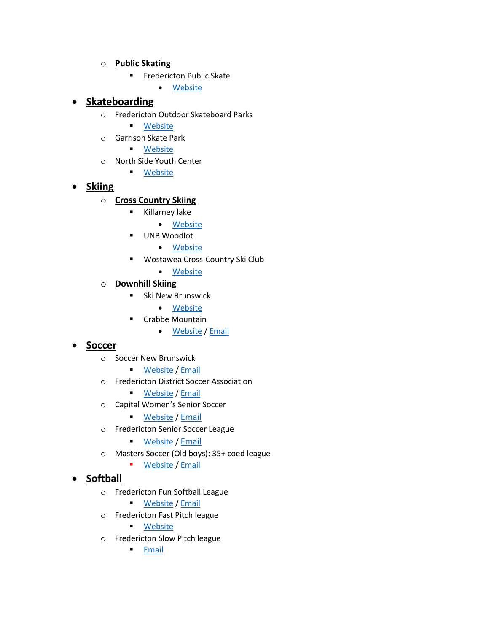#### o **Public Skating**

- Fredericton Public Skate
	- [Website](https://www.fredericton.ca/en/recreation/recreation-programming)

### • **Skateboarding**

- o Fredericton Outdoor Skateboard Parks
	- [Website](https://www.fredericton.ca/en/recreation/parks-and-playgrounds)
- o Garrison Skate Park
	- [Website](https://www.fredericton.ca/en/recreation/parks-and-playgrounds)
- o North Side Youth Center
	- [Website](https://www.fredericton.ca/en/recreation/recreation-programs)

### • **Skiing**

### o **Cross Country Skiing**

- Killarney lake
	- [Website](http://www.wostawea.ca/killarney-lake)
- UNB Woodlot
	- [Website](http://www.wostawea.ca/unb-kingswood)
- Wostawea Cross-Country Ski Club
	- [Website](http://www.wostawea.ca/)
- o **Downhill Skiing**
	- **■** Ski New Brunswick
		- [Website](https://www.skinb.ca/)
	- Crabbe Mountain
		- [Website](http://www.crabbemountain.com/) / [Email](mailto:info@crabbemountain.com)

### • **Soccer**

- o Soccer New Brunswick
	- [Website](https://www.soccernb.org/en/) / [Email](mailto:admin@soccernb.org)
- o Fredericton District Soccer Association

■ [Website](http://www.fdsa.org/) / [Email](mailto:info@fdsa.org)

- o Capital Women's Senior Soccer
	- [Website](https://www.facebook.com/FWRSL/) / [Email](mailto:seniordirector@fdsa.org)
- o Fredericton Senior Soccer League
	- [Website](https://www.facebook.com/CapitalMenSeniorSoccer) / [Email](mailto:seniordirector@fdsa.org)
- o Masters Soccer (Old boys): 35+ coed league
	- [Website](http://www.oldboys.ca/) / [Email](mailto:President@oldboys.ca)

# • **Softball**

- o Fredericton Fun Softball League
	- [Website](https://www.frederictonfunsoftball.com/) / [Email](mailto:frederictonfunsoftball@gmail.com)
- o Fredericton Fast Pitch league

■ [Website](https://www.frederictonfastpitch.ca/)

- o Fredericton Slow Pitch league
	- **[Email](mailto:daveabowen@hotmail.ca)**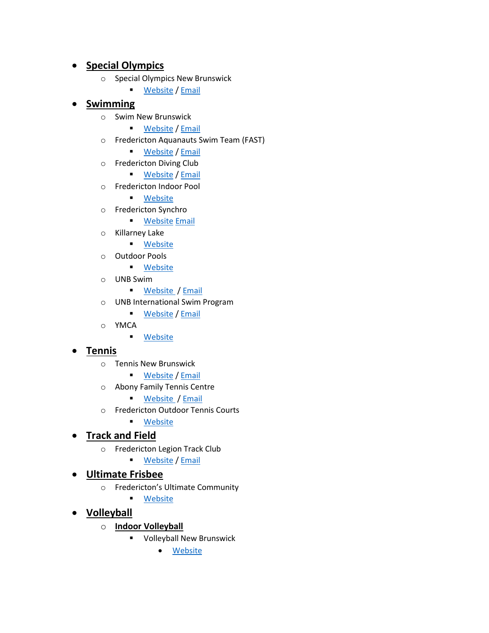# • **Special Olympics**

- o Special Olympics New Brunswick
	- [Website](http://www.specialolympicsnb.ca/) / [Email](mailto:infosonb@speicalolympics.ca)

# • **Swimming**

- o Swim New Brunswick
	- [Website](https://www.swimnb.ca/) / [Email](mailto:swimnb@nb.aibn.com)
- o Fredericton Aquanauts Swim Team (FAST)
	- [Website](https://www.teamunify.com/team/canfast/page/home) / [Email](mailto:fastswimmingoffice@gmail.com)
- o Fredericton Diving Club
	- [Website](https://www.facebook.com/FrederictonDivingClub/) / [Email](mailto:frederictondivingclub@gmail.com)
- o Fredericton Indoor Pool
	- [Website](https://www.fredericton.ca/en/recreation/pools-splash-pad-lake)
- o Fredericton Synchro
	- **■** [Website](https://sites.google.com/site/frederictonsynchro/home) [Email](mailto:fredsynchro@gmail.com)
- o Killarney Lake
	- [Website](https://www.fredericton.ca/en/recreation/pools-splash-pad-lake)
- o Outdoor Pools
	- [Website](https://www.fredericton.ca/en/recreation/pools-splash-pad-lake)
- o UNB Swim
	- [Website](https://www.unb.ca/fredericton/urec/aquatics/index.html) [/ Email](mailto:equip@unb.ca)
- o UNB International Swim Program
	- [Website](https://www.facebook.com/UNBISP) / [Email](mailto:unbisp@gmail.com)
- o YMCA
	- [Website](https://www.fredericton.ymca.ca/)

# • **Tennis**

- o Tennis New Brunswick
	- [Website](http://newbrunswick.tenniscanada.com/) / [Email](mailto:tnb@tennisnb.net)
- o Abony Family Tennis Centre
	- [Website](https://www.abonytennis.ca/) [/ Email](mailto:info@abonytennis.ca)
- o Fredericton Outdoor Tennis Courts
	- [Website](https://www.fredericton.ca/en/recreation/courts-0)

# • **Track and Field**

- o Fredericton Legion Track Club
	- [Website](http://www.fltc.anb.ca/) / [Email](mailto:frederictonlegiontrackclub@gmail.com)

### • **Ultimate Frisbee**

- o Fredericton's Ultimate Community
	- [Website](https://www.facebook.com/groups/frederictonultimate/)
- **Volleyball**
	- o **Indoor Volleyball**
		- Volleyball New Brunswick
			- [Website](https://volleyballnb.org/)